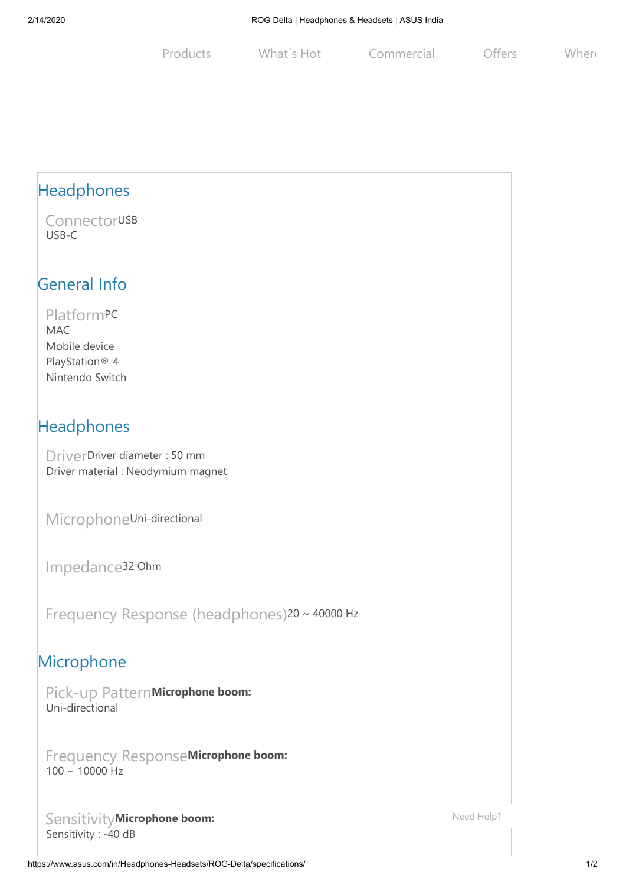Products What's Hot Commercial Offers Where

## Headphones

**ConnectorUSB** USB-C

#### General Info

Platform PC MAC Mobile device PlayStation® 4 Nintendo Switch

### Headphones

Driver Driver diameter : 50 mm Driver material : Neodymium magnet

Microphone Uni-directional

Impedance 32 Ohm

Frequency Response (headphones) 20 ~ 40000 Hz

#### Microphone

Pick-up Pattern **Microphone boom:** Uni-directional

Frequency Response **Microphone boom:**  $100 \sim 10000$  Hz

Sensitivity **Microphone boom:** Sensitivity : -40 dB

[Need Help?](https://icr-apac.asus.com/webchat/icr.html?rootTreeId=APAC.ACIN.EN-IN&treeId=APAC.ACIN.EN-IN&tenantId=EN-IN&language=en-us)